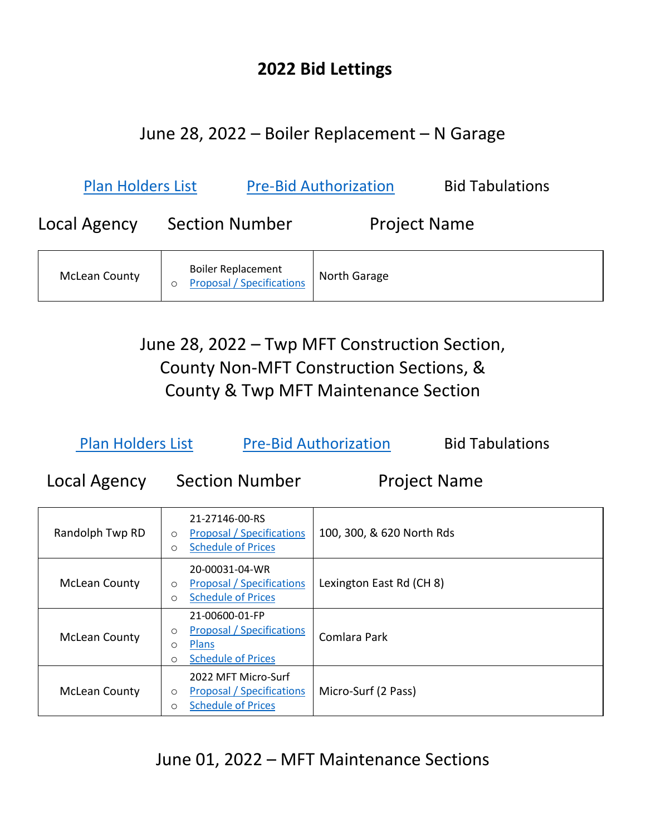#### **2022 Bid Lettings**

#### June 28, 2022 – Boiler Replacement – N Garage

| <b>Plan Holders List</b> |                                                               | <b>Pre-Bid Authorization</b> | <b>Bid Tabulations</b> |
|--------------------------|---------------------------------------------------------------|------------------------------|------------------------|
| Local Agency             | <b>Section Number</b>                                         | <b>Project Name</b>          |                        |
| <b>McLean County</b>     | <b>Boiler Replacement</b><br><b>Proposal / Specifications</b> | North Garage                 |                        |

June 28, 2022 – Twp MFT Construction Section, County Non-MFT Construction Sections, & County & Twp MFT Maintenance Section

| <b>Plan Holders List</b> | <b>Pre-Bid Authorization</b> | <b>Bid Tabulations</b> |
|--------------------------|------------------------------|------------------------|
|--------------------------|------------------------------|------------------------|

Local Agency Section Number Project Name

| Randolph Twp RD      | 21-27146-00-RS<br><b>Proposal / Specifications</b><br>$\circ$<br><b>Schedule of Prices</b><br>O               | 100, 300, & 620 North Rds |
|----------------------|---------------------------------------------------------------------------------------------------------------|---------------------------|
| <b>McLean County</b> | 20-00031-04-WR<br><b>Proposal / Specifications</b><br>$\circ$<br><b>Schedule of Prices</b><br>O               | Lexington East Rd (CH 8)  |
| <b>McLean County</b> | 21-00600-01-FP<br><b>Proposal / Specifications</b><br>$\circ$<br>Plans<br>O<br><b>Schedule of Prices</b><br>O | Comlara Park              |
| <b>McLean County</b> | 2022 MFT Micro-Surf<br><b>Proposal / Specifications</b><br>O<br><b>Schedule of Prices</b><br>O                | Micro-Surf (2 Pass)       |

June 01, 2022 – MFT Maintenance Sections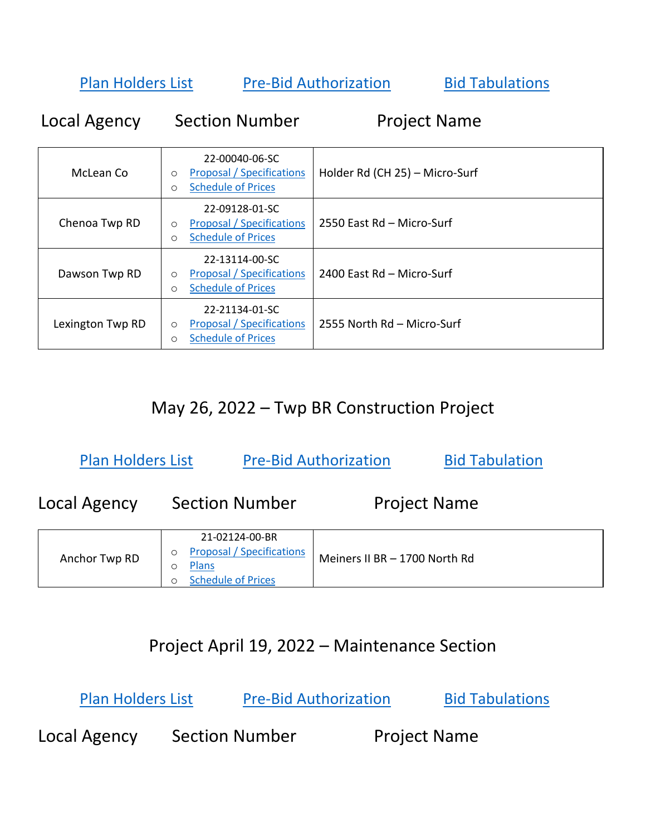[Plan Holders List](https://www.mcleancountyil.gov/DocumentCenter/View/21875/Plan-Holders-List---06-01-2022) [Pre-Bid Authorization](https://www.mcleancountyil.gov/DocumentCenter/View/8019/Authorization-to-Bid-Form-Fillable) [Bid Tabulations](https://www.mcleancountyil.gov/DocumentCenter/View/22375/11-01June2022---Bid-Tab)

Local Agency Section Number Project Name

| McLean Co        | 22-00040-06-SC<br><b>Proposal / Specifications</b><br>$\circ$<br><b>Schedule of Prices</b><br>$\circ$ | Holder Rd (CH 25) - Micro-Surf |
|------------------|-------------------------------------------------------------------------------------------------------|--------------------------------|
| Chenoa Twp RD    | 22-09128-01-SC<br><b>Proposal / Specifications</b><br>$\circ$<br><b>Schedule of Prices</b><br>$\circ$ | 2550 East Rd - Micro-Surf      |
| Dawson Twp RD    | 22-13114-00-SC<br><b>Proposal / Specifications</b><br>$\circ$<br><b>Schedule of Prices</b><br>$\circ$ | 2400 East Rd - Micro-Surf      |
| Lexington Twp RD | 22-21134-01-SC<br>Proposal / Specifications<br>$\circ$<br><b>Schedule of Prices</b><br>$\circ$        | 2555 North Rd - Micro-Surf     |

## May 26, 2022 – Twp BR Construction Project

[Plan Holders List](https://www.mcleancountyil.gov/DocumentCenter/View/21858/Plan-Holders-List---05-26-2022) [Pre-Bid Authorization](https://www.mcleancountyil.gov/DocumentCenter/View/8019/Authorization-to-Bid-Form-Fillable) [Bid Tabulation](https://www.mcleancountyil.gov/DocumentCenter/View/22362/10-26May2022---Bid-Tab)

Local Agency Section Number Project Name Anchor Twp RD 21-02124-00-BR o [Proposal / Specifications](https://www.mcleancountyil.gov/DocumentCenter/View/21867/Anchor-Twp-RD---21-02124-00-BR---Meiner-II-BR---Proposal) o [Plans](https://www.mcleancountyil.gov/DocumentCenter/View/21868/Anchor-Twp-RD---21-02124-00-BR---Meiner-II-BR---Plans) o [Schedule of Prices](https://www.mcleancountyil.gov/DocumentCenter/View/21869/BLR-12201---Schedule-of-Prices) Meiners II BR – 1700 North Rd

## Project April 19, 2022 – Maintenance Section

[Plan Holders List](https://www.mcleancountyil.gov/DocumentCenter/View/21553/Plan-Holders-List---04-19-2022) [Pre-Bid Authorization](https://www.mcleancountyil.gov/DocumentCenter/View/8019/Authorization-to-Bid-Form-Fillable) [Bid Tabulations](https://www.mcleancountyil.gov/DocumentCenter/View/21622/09-19April2022---Bid-Tab)

Local Agency Section Number Project Name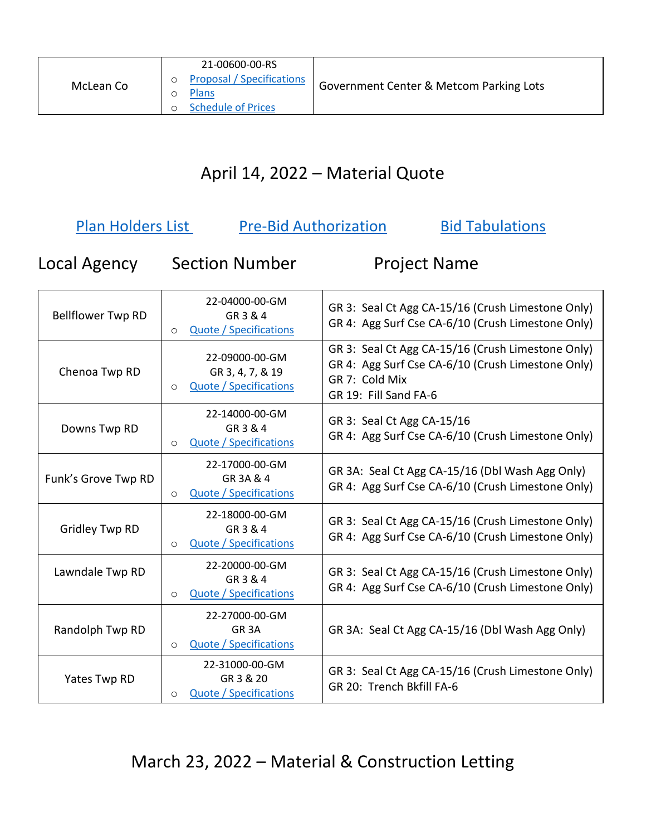|           | 21-00600-00-RS                                                                |                                         |
|-----------|-------------------------------------------------------------------------------|-----------------------------------------|
| McLean Co | <b>Proposal / Specifications</b><br><b>Plans</b><br><b>Schedule of Prices</b> | Government Center & Metcom Parking Lots |

# April 14, 2022 – Material Quote

| Plan Holders List<br><b>Pre-Bid Authorization</b><br><b>Bid Tabulations</b> |                                                                                |                                                                                                                                                   |
|-----------------------------------------------------------------------------|--------------------------------------------------------------------------------|---------------------------------------------------------------------------------------------------------------------------------------------------|
| Local Agency                                                                | <b>Section Number</b>                                                          | <b>Project Name</b>                                                                                                                               |
| <b>Bellflower Twp RD</b>                                                    | 22-04000-00-GM<br>GR 3 & 4<br><b>Quote / Specifications</b><br>$\circ$         | GR 3: Seal Ct Agg CA-15/16 (Crush Limestone Only)<br>GR 4: Agg Surf Cse CA-6/10 (Crush Limestone Only)                                            |
| Chenoa Twp RD                                                               | 22-09000-00-GM<br>GR 3, 4, 7, & 19<br><b>Quote / Specifications</b><br>$\circ$ | GR 3: Seal Ct Agg CA-15/16 (Crush Limestone Only)<br>GR 4: Agg Surf Cse CA-6/10 (Crush Limestone Only)<br>GR 7: Cold Mix<br>GR 19: Fill Sand FA-6 |
| Downs Twp RD                                                                | 22-14000-00-GM<br>GR 3 & 4<br><b>Quote / Specifications</b><br>$\circ$         | GR 3: Seal Ct Agg CA-15/16<br>GR 4: Agg Surf Cse CA-6/10 (Crush Limestone Only)                                                                   |
| Funk's Grove Twp RD                                                         | 22-17000-00-GM<br>GR 3A & 4<br><b>Quote / Specifications</b><br>$\circ$        | GR 3A: Seal Ct Agg CA-15/16 (Dbl Wash Agg Only)<br>GR 4: Agg Surf Cse CA-6/10 (Crush Limestone Only)                                              |
| <b>Gridley Twp RD</b>                                                       | 22-18000-00-GM<br>GR 3 & 4<br><b>Quote / Specifications</b><br>$\circ$         | GR 3: Seal Ct Agg CA-15/16 (Crush Limestone Only)<br>GR 4: Agg Surf Cse CA-6/10 (Crush Limestone Only)                                            |
| Lawndale Twp RD                                                             | 22-20000-00-GM<br>GR 3 & 4<br><b>Quote / Specifications</b><br>$\circ$         | GR 3: Seal Ct Agg CA-15/16 (Crush Limestone Only)<br>GR 4: Agg Surf Cse CA-6/10 (Crush Limestone Only)                                            |
| Randolph Twp RD                                                             | 22-27000-00-GM<br>GR <sub>3</sub> A<br>Quote / Specifications<br>$\circ$       | GR 3A: Seal Ct Agg CA-15/16 (Dbl Wash Agg Only)                                                                                                   |
| Yates Twp RD                                                                | 22-31000-00-GM<br>GR 3 & 20<br><b>Quote / Specifications</b><br>O              | GR 3: Seal Ct Agg CA-15/16 (Crush Limestone Only)<br>GR 20: Trench Bkfill FA-6                                                                    |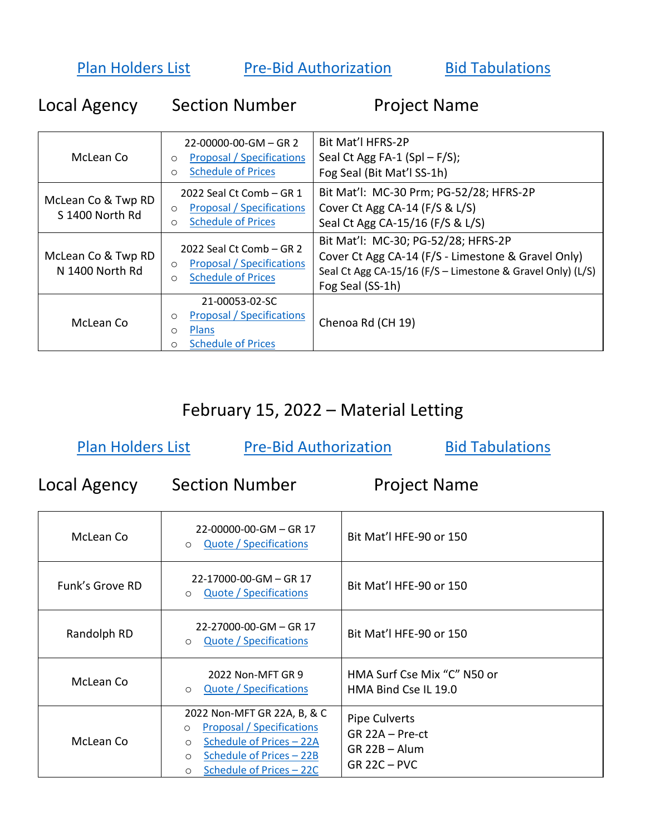[Plan Holders List](https://www.mcleancountyil.gov/DocumentCenter/View/21417/Plan-Holders-List---03-23-2022) [Pre-Bid Authorization](https://www.mcleancountyil.gov/DocumentCenter/View/8019/Authorization-to-Bid-Form-Fillable) Bid Tabulations

| Local Agency                          | <b>Section Number</b>                                                                                                     | <b>Project Name</b>                                                                                                                                                         |
|---------------------------------------|---------------------------------------------------------------------------------------------------------------------------|-----------------------------------------------------------------------------------------------------------------------------------------------------------------------------|
| McLean Co                             | $22-00000-00-GM - GR$ 2<br><b>Proposal / Specifications</b><br>$\circ$<br><b>Schedule of Prices</b><br>$\circ$            | Bit Mat'l HFRS-2P<br>Seal Ct Agg FA-1 (Spl $-$ F/S);<br>Fog Seal (Bit Mat'l SS-1h)                                                                                          |
| McLean Co & Twp RD<br>S 1400 North Rd | 2022 Seal Ct Comb - GR 1<br><b>Proposal / Specifications</b><br>$\circ$<br><b>Schedule of Prices</b><br>$\circ$           | Bit Mat'l: MC-30 Prm; PG-52/28; HFRS-2P<br>Cover Ct Agg CA-14 (F/S & L/S)<br>Seal Ct Agg CA-15/16 (F/S & L/S)                                                               |
| McLean Co & Twp RD<br>N 1400 North Rd | 2022 Seal Ct Comb - GR 2<br><b>Proposal / Specifications</b><br>$\circ$<br><b>Schedule of Prices</b><br>$\circ$           | Bit Mat'l: MC-30; PG-52/28; HFRS-2P<br>Cover Ct Agg CA-14 (F/S - Limestone & Gravel Only)<br>Seal Ct Agg CA-15/16 (F/S - Limestone & Gravel Only) (L/S)<br>Fog Seal (SS-1h) |
| McLean Co                             | 21-00053-02-SC<br><b>Proposal / Specifications</b><br>$\circ$<br>Plans<br>$\circ$<br><b>Schedule of Prices</b><br>$\circ$ | Chenoa Rd (CH 19)                                                                                                                                                           |

## February 15, 2022 – Material Letting

| <b>Plan Holders List</b><br><b>Pre-Bid Authorization</b> |                                                                                                                                                                                                 | <b>Bid Tabulations</b>                                                      |
|----------------------------------------------------------|-------------------------------------------------------------------------------------------------------------------------------------------------------------------------------------------------|-----------------------------------------------------------------------------|
| Local Agency                                             | <b>Section Number</b>                                                                                                                                                                           | <b>Project Name</b>                                                         |
| McLean Co                                                | 22-00000-00-GM - GR 17<br><b>Quote / Specifications</b><br>$\circ$                                                                                                                              | Bit Mat'l HFE-90 or 150                                                     |
| Funk's Grove RD                                          | 22-17000-00-GM - GR 17<br>Quote / Specifications<br>$\circ$                                                                                                                                     | Bit Mat'l HFE-90 or 150                                                     |
| Randolph RD                                              | 22-27000-00-GM - GR 17<br>Quote / Specifications<br>$\circ$                                                                                                                                     | Bit Mat'l HFE-90 or 150                                                     |
| McLean Co                                                | 2022 Non-MFT GR 9<br>Quote / Specifications<br>$\circ$                                                                                                                                          | HMA Surf Cse Mix "C" N50 or<br>HMA Bind Cse IL 19.0                         |
| McLean Co                                                | 2022 Non-MFT GR 22A, B, & C<br><b>Proposal / Specifications</b><br>$\circ$<br>Schedule of Prices - 22A<br>$\circ$<br>Schedule of Prices - 22B<br>$\circ$<br>Schedule of Prices - 22C<br>$\circ$ | Pipe Culverts<br>$GR$ 22A - Pre-ct<br>$GR$ 22B $-$ Alum<br>$GR$ 22C $-$ PVC |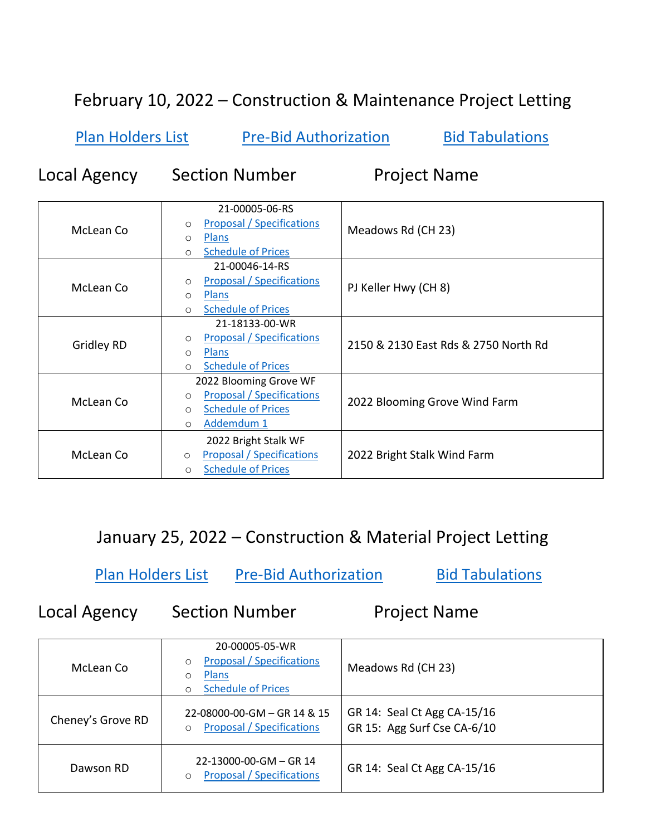## February 10, 2022 – Construction & Maintenance Project Letting

[Plan Holders List](https://www.mcleancountyil.gov/DocumentCenter/View/21268/Plan-Holders-List---02-10-2022) [Pre-Bid Authorization](https://www.mcleancountyil.gov/DocumentCenter/View/8019/Authorization-to-Bid-Form-Fillable) [Bid Tabulations](https://www.mcleancountyil.gov/DocumentCenter/View/21340/05-10February2022---Bid-Tab)

Local Agency Section Number Project Name

| McLean Co  | 21-00005-06-RS<br><b>Proposal / Specifications</b><br>$\circ$<br><b>Plans</b><br>O<br><b>Schedule of Prices</b><br>$\circ$             | Meadows Rd (CH 23)                   |
|------------|----------------------------------------------------------------------------------------------------------------------------------------|--------------------------------------|
| McLean Co  | 21-00046-14-RS<br><b>Proposal / Specifications</b><br>$\circ$<br><b>Plans</b><br>$\circ$<br><b>Schedule of Prices</b><br>$\circ$       | PJ Keller Hwy (CH 8)                 |
| Gridley RD | 21-18133-00-WR<br><b>Proposal / Specifications</b><br>$\circ$<br><b>Plans</b><br>$\circ$<br><b>Schedule of Prices</b><br>$\circ$       | 2150 & 2130 East Rds & 2750 North Rd |
| McLean Co  | 2022 Blooming Grove WF<br><b>Proposal / Specifications</b><br>$\circ$<br><b>Schedule of Prices</b><br>$\circ$<br>Addemdum 1<br>$\circ$ | 2022 Blooming Grove Wind Farm        |
| McLean Co  | 2022 Bright Stalk WF<br><b>Proposal / Specifications</b><br>$\circ$<br><b>Schedule of Prices</b><br>$\Omega$                           | 2022 Bright Stalk Wind Farm          |

January 25, 2022 – Construction & Material Project Letting

[Plan Holders List](https://www.mcleancountyil.gov/DocumentCenter/View/21232/Plan-Holders-List---1-25-2022---2022) [Pre-Bid Authorization](https://www.mcleancountyil.gov/DocumentCenter/View/8019/Authorization-to-Bid-Form-Fillable) [Bid Tabulations](https://www.mcleancountyil.gov/DocumentCenter/View/21287/03---25January2022---Bid-Tab)

Local Agency Section Number Project Name

| McLean Co         | 20-00005-05-WR<br><b>Proposal / Specifications</b><br>$\circ$<br>Plans<br>O<br><b>Schedule of Prices</b> | Meadows Rd (CH 23)                                         |
|-------------------|----------------------------------------------------------------------------------------------------------|------------------------------------------------------------|
| Cheney's Grove RD | 22-08000-00-GM - GR 14 & 15<br><b>Proposal / Specifications</b><br>$\circ$                               | GR 14: Seal Ct Agg CA-15/16<br>GR 15: Agg Surf Cse CA-6/10 |
| Dawson RD         | $22-13000-00-GM - GR$ 14<br><b>Proposal / Specifications</b><br>O                                        | GR 14: Seal Ct Agg CA-15/16                                |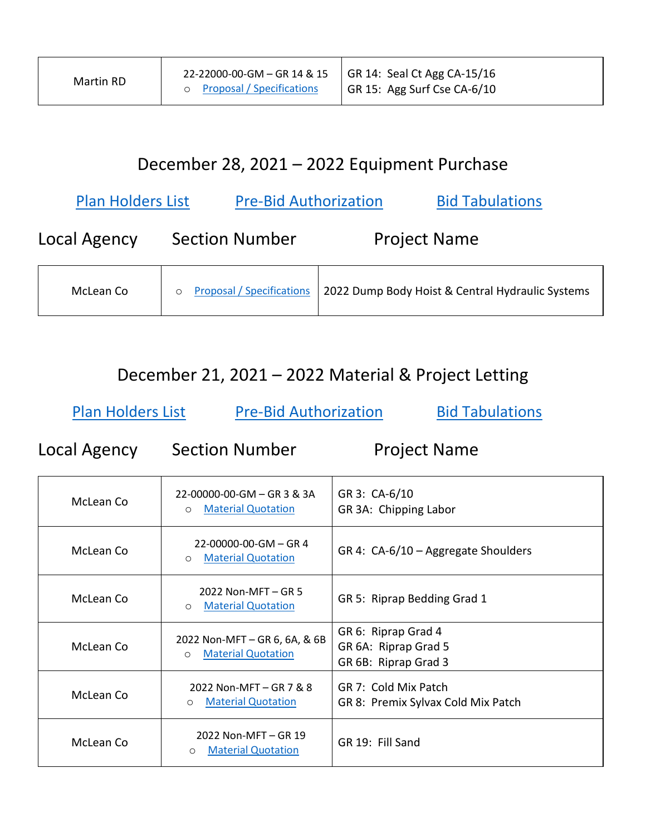# December 28, 2021 – 2022 Equipment Purchase

| <b>Pre-Bid Authorization</b><br><b>Plan Holders List</b> |                                  |                     | <b>Bid Tabulations</b>                           |
|----------------------------------------------------------|----------------------------------|---------------------|--------------------------------------------------|
| Local Agency                                             | <b>Section Number</b>            | <b>Project Name</b> |                                                  |
| McLean Co                                                | <b>Proposal / Specifications</b> |                     | 2022 Dump Body Hoist & Central Hydraulic Systems |

#### December 21, 2021 – 2022 Material & Project Letting

[Plan Holders List](https://www.mcleancountyil.gov/DocumentCenter/View/21101/Plan-Holders-List---12-21-2021---2022) [Pre-Bid Authorization](https://www.mcleancountyil.gov/DocumentCenter/View/8019/Authorization-to-Bid-Form-Fillable) [Bid Tabulations](https://www.mcleancountyil.gov/DocumentCenter/View/21304/02-21December2021-2022---Bid-Tab)

Local Agency Section Number Project Name

| McLean Co | 22-00000-00-GM - GR 3 & 3A<br><b>Material Quotation</b><br>$\circ$     | GR 3: CA-6/10<br>GR 3A: Chipping Labor                              |
|-----------|------------------------------------------------------------------------|---------------------------------------------------------------------|
| McLean Co | 22-00000-00-GM - GR 4<br><b>Material Quotation</b><br>$\circ$          | GR 4: CA-6/10 - Aggregate Shoulders                                 |
| McLean Co | 2022 Non-MFT - GR 5<br><b>Material Quotation</b><br>$\circ$            | GR 5: Riprap Bedding Grad 1                                         |
| McLean Co | 2022 Non-MFT - GR 6, 6A, & 6B<br><b>Material Quotation</b><br>$\Omega$ | GR 6: Riprap Grad 4<br>GR 6A: Riprap Grad 5<br>GR 6B: Riprap Grad 3 |
| McLean Co | 2022 Non-MFT - GR 7 & 8<br><b>Material Quotation</b><br>O              | GR 7: Cold Mix Patch<br>GR 8: Premix Sylvax Cold Mix Patch          |
| McLean Co | 2022 Non-MFT - GR 19<br><b>Material Quotation</b><br>$\circ$           | GR 19: Fill Sand                                                    |